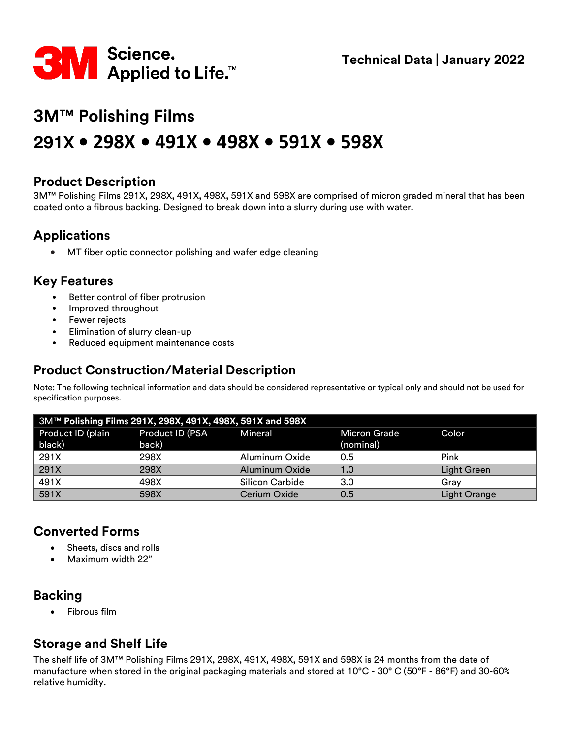

# **3M™ Polishing Films 291X • 298X • 491X • 498X • 591X • 598X**

#### **Product Description**

3M™ Polishing Films 291X, 298X, 491X, 498X, 591X and 598X are comprised of micron graded mineral that has been coated onto a fibrous backing. Designed to break down into a slurry during use with water.

## **Applications**

• MT fiber optic connector polishing and wafer edge cleaning

#### **Key Features**

- Better control of fiber protrusion
- Improved throughout
- Fewer rejects
- Elimination of slurry clean-up
- Reduced equipment maintenance costs

#### **Product Construction/Material Description**

Note: The following technical information and data should be considered representative or typical only and should not be used for specification purposes.

| 3M™ Polishing Films 291X, 298X, 491X, 498X, 591X and 598X |                          |                 |                                  |                     |
|-----------------------------------------------------------|--------------------------|-----------------|----------------------------------|---------------------|
| Product ID (plain<br>black)                               | Product ID (PSA<br>back) | Mineral         | <b>Micron Grade</b><br>(nominal) | Color               |
| 291X                                                      | 298X                     | Aluminum Oxide  | 0.5                              | Pink                |
| 291X                                                      | 298X                     | Aluminum Oxide  | 1.0                              | Light Green         |
| 491X                                                      | 498X                     | Silicon Carbide | 3.0                              | Grav                |
| $\overline{591X}$                                         | 598X                     | Cerium Oxide    | 0.5                              | <b>Light Orange</b> |

#### **Converted Forms**

- Sheets, discs and rolls
- Maximum width 22"

# **Backing**

• Fibrous film

# **Storage and Shelf Life**

The shelf life of 3M™ Polishing Films 291X, 298X, 491X, 498X, 591X and 598X is 24 months from the date of manufacture when stored in the original packaging materials and stored at 10°C - 30° C (50°F - 86°F) and 30-60% relative humidity.